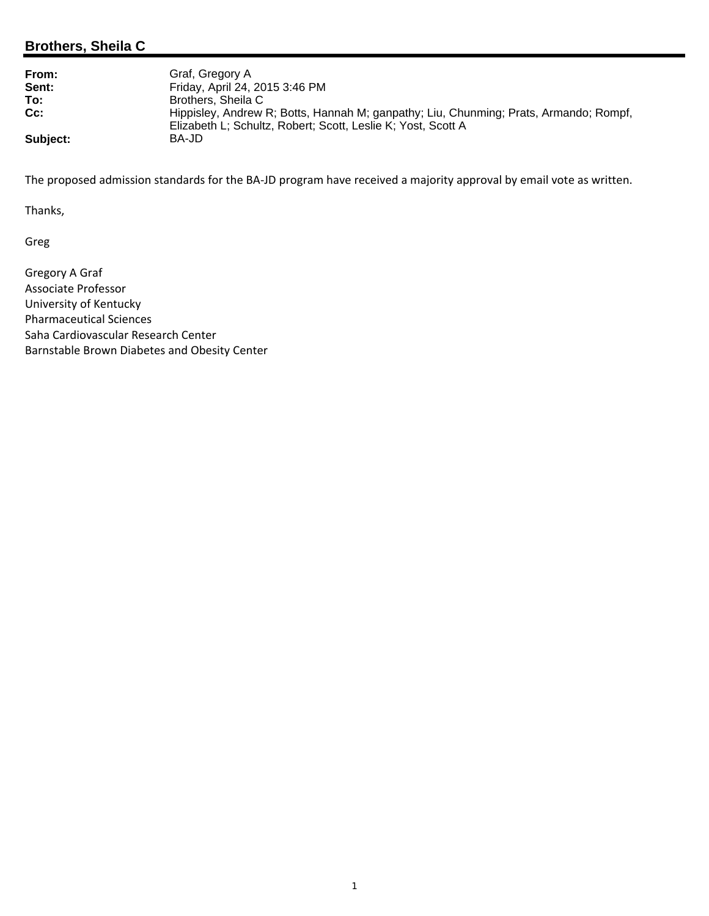## **Brothers, Sheila C**

| From:    | Graf, Gregory A                                                                                                                                       |
|----------|-------------------------------------------------------------------------------------------------------------------------------------------------------|
| Sent:    | Friday, April 24, 2015 3:46 PM                                                                                                                        |
| To:      | Brothers, Sheila C                                                                                                                                    |
| $Cc$ :   | Hippisley, Andrew R; Botts, Hannah M; ganpathy; Liu, Chunming; Prats, Armando; Rompf,<br>Elizabeth L; Schultz, Robert; Scott, Leslie K; Yost, Scott A |
| Subject: | BA-JD                                                                                                                                                 |

The proposed admission standards for the BA‐JD program have received a majority approval by email vote as written.

Thanks,

Greg

Gregory A Graf Associate Professor University of Kentucky Pharmaceutical Sciences Saha Cardiovascular Research Center Barnstable Brown Diabetes and Obesity Center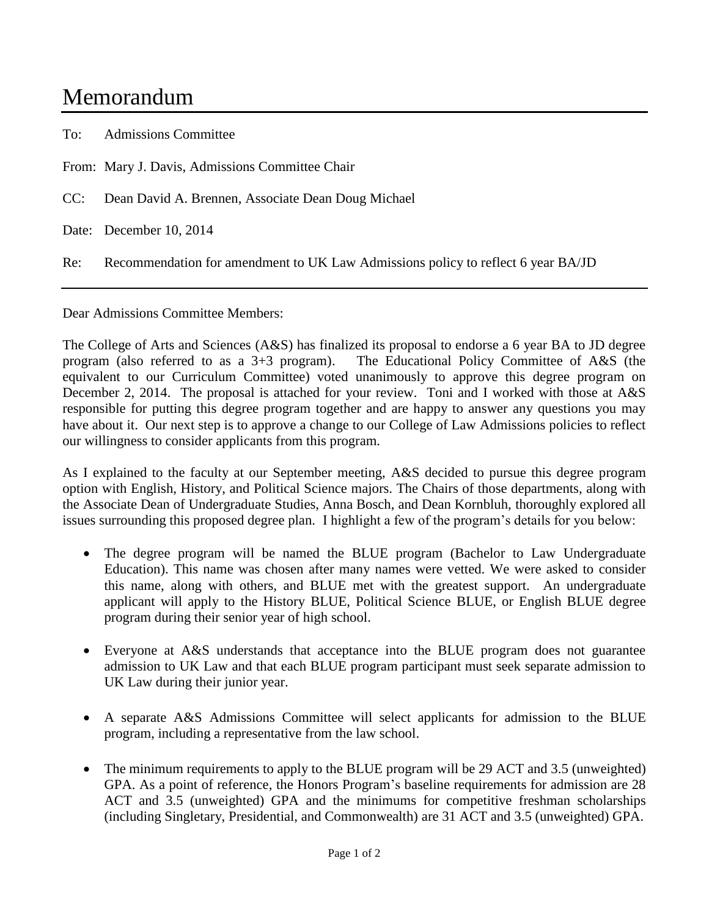## Memorandum

To: Admissions Committee

From: Mary J. Davis, Admissions Committee Chair

CC: Dean David A. Brennen, Associate Dean Doug Michael

Date: December 10, 2014

Re: Recommendation for amendment to UK Law Admissions policy to reflect 6 year BA/JD

Dear Admissions Committee Members:

The College of Arts and Sciences (A&S) has finalized its proposal to endorse a 6 year BA to JD degree program (also referred to as a 3+3 program). The Educational Policy Committee of A&S (the equivalent to our Curriculum Committee) voted unanimously to approve this degree program on December 2, 2014. The proposal is attached for your review. Toni and I worked with those at A&S responsible for putting this degree program together and are happy to answer any questions you may have about it. Our next step is to approve a change to our College of Law Admissions policies to reflect our willingness to consider applicants from this program.

As I explained to the faculty at our September meeting, A&S decided to pursue this degree program option with English, History, and Political Science majors. The Chairs of those departments, along with the Associate Dean of Undergraduate Studies, Anna Bosch, and Dean Kornbluh, thoroughly explored all issues surrounding this proposed degree plan. I highlight a few of the program's details for you below:

- The degree program will be named the BLUE program (Bachelor to Law Undergraduate Education). This name was chosen after many names were vetted. We were asked to consider this name, along with others, and BLUE met with the greatest support. An undergraduate applicant will apply to the History BLUE, Political Science BLUE, or English BLUE degree program during their senior year of high school.
- Everyone at A&S understands that acceptance into the BLUE program does not guarantee admission to UK Law and that each BLUE program participant must seek separate admission to UK Law during their junior year.
- A separate A&S Admissions Committee will select applicants for admission to the BLUE program, including a representative from the law school.
- The minimum requirements to apply to the BLUE program will be 29 ACT and 3.5 (unweighted) GPA. As a point of reference, the Honors Program's baseline requirements for admission are 28 ACT and 3.5 (unweighted) GPA and the minimums for competitive freshman scholarships (including Singletary, Presidential, and Commonwealth) are 31 ACT and 3.5 (unweighted) GPA.